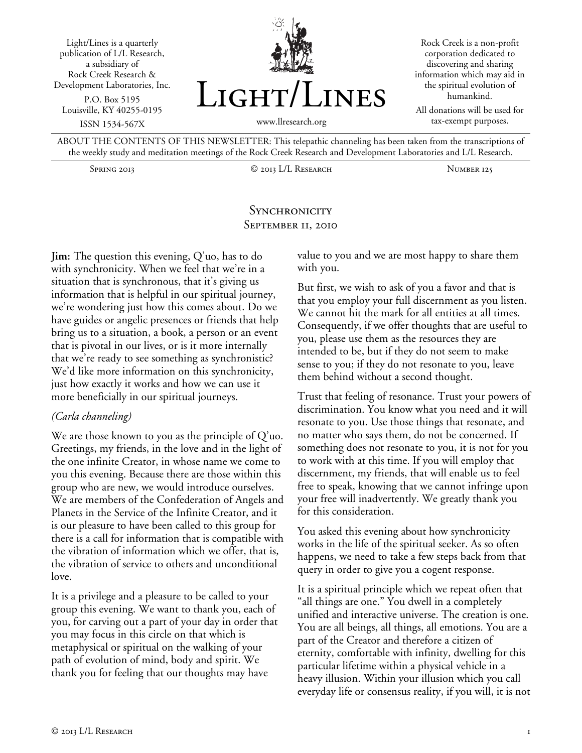



Rock Creek is a non-profit corporation dedicated to discovering and sharing information which may aid in the spiritual evolution of humankind.

All donations will be used for tax-exempt purposes.

ABOUT THE CONTENTS OF THIS NEWSLETTER: This telepathic channeling has been taken from the transcriptions of the weekly study and meditation meetings of the Rock Creek Research and Development Laboratories and L/L Research.

Spring 2013 © 2013 L/L Research Number 125

## **SYNCHRONICITY** September 11, 2010

**Jim:** The question this evening, Q'uo, has to do with synchronicity. When we feel that we're in a situation that is synchronous, that it's giving us information that is helpful in our spiritual journey, we're wondering just how this comes about. Do we have guides or angelic presences or friends that help bring us to a situation, a book, a person or an event that is pivotal in our lives, or is it more internally that we're ready to see something as synchronistic? We'd like more information on this synchronicity, just how exactly it works and how we can use it more beneficially in our spiritual journeys.

## *(Carla channeling)*

We are those known to you as the principle of Q'uo. Greetings, my friends, in the love and in the light of the one infinite Creator, in whose name we come to you this evening. Because there are those within this group who are new, we would introduce ourselves. We are members of the Confederation of Angels and Planets in the Service of the Infinite Creator, and it is our pleasure to have been called to this group for there is a call for information that is compatible with the vibration of information which we offer, that is, the vibration of service to others and unconditional love.

It is a privilege and a pleasure to be called to your group this evening. We want to thank you, each of you, for carving out a part of your day in order that you may focus in this circle on that which is metaphysical or spiritual on the walking of your path of evolution of mind, body and spirit. We thank you for feeling that our thoughts may have

value to you and we are most happy to share them with you.

But first, we wish to ask of you a favor and that is that you employ your full discernment as you listen. We cannot hit the mark for all entities at all times. Consequently, if we offer thoughts that are useful to you, please use them as the resources they are intended to be, but if they do not seem to make sense to you; if they do not resonate to you, leave them behind without a second thought.

Trust that feeling of resonance. Trust your powers of discrimination. You know what you need and it will resonate to you. Use those things that resonate, and no matter who says them, do not be concerned. If something does not resonate to you, it is not for you to work with at this time. If you will employ that discernment, my friends, that will enable us to feel free to speak, knowing that we cannot infringe upon your free will inadvertently. We greatly thank you for this consideration.

You asked this evening about how synchronicity works in the life of the spiritual seeker. As so often happens, we need to take a few steps back from that query in order to give you a cogent response.

It is a spiritual principle which we repeat often that "all things are one." You dwell in a completely unified and interactive universe. The creation is one. You are all beings, all things, all emotions. You are a part of the Creator and therefore a citizen of eternity, comfortable with infinity, dwelling for this particular lifetime within a physical vehicle in a heavy illusion. Within your illusion which you call everyday life or consensus reality, if you will, it is not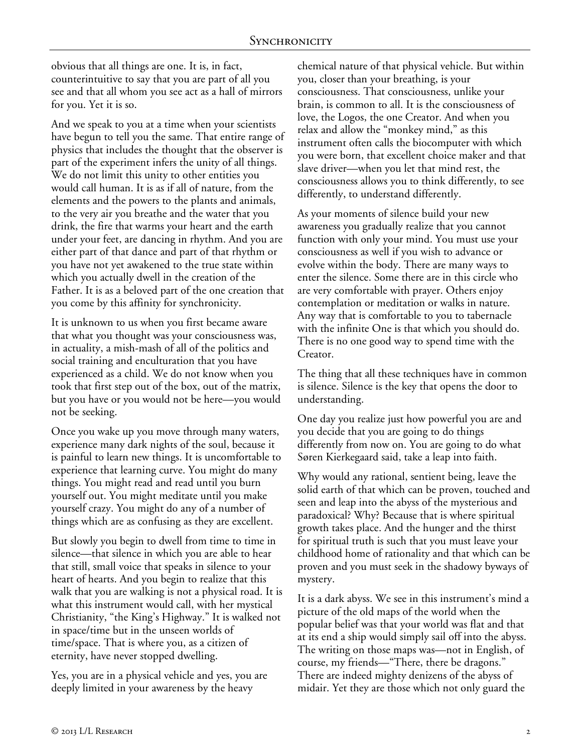obvious that all things are one. It is, in fact, counterintuitive to say that you are part of all you see and that all whom you see act as a hall of mirrors for you. Yet it is so.

And we speak to you at a time when your scientists have begun to tell you the same. That entire range of physics that includes the thought that the observer is part of the experiment infers the unity of all things. We do not limit this unity to other entities you would call human. It is as if all of nature, from the elements and the powers to the plants and animals, to the very air you breathe and the water that you drink, the fire that warms your heart and the earth under your feet, are dancing in rhythm. And you are either part of that dance and part of that rhythm or you have not yet awakened to the true state within which you actually dwell in the creation of the Father. It is as a beloved part of the one creation that you come by this affinity for synchronicity.

It is unknown to us when you first became aware that what you thought was your consciousness was, in actuality, a mish-mash of all of the politics and social training and enculturation that you have experienced as a child. We do not know when you took that first step out of the box, out of the matrix, but you have or you would not be here—you would not be seeking.

Once you wake up you move through many waters, experience many dark nights of the soul, because it is painful to learn new things. It is uncomfortable to experience that learning curve. You might do many things. You might read and read until you burn yourself out. You might meditate until you make yourself crazy. You might do any of a number of things which are as confusing as they are excellent.

But slowly you begin to dwell from time to time in silence—that silence in which you are able to hear that still, small voice that speaks in silence to your heart of hearts. And you begin to realize that this walk that you are walking is not a physical road. It is what this instrument would call, with her mystical Christianity, "the King's Highway." It is walked not in space/time but in the unseen worlds of time/space. That is where you, as a citizen of eternity, have never stopped dwelling.

Yes, you are in a physical vehicle and yes, you are deeply limited in your awareness by the heavy

chemical nature of that physical vehicle. But within you, closer than your breathing, is your consciousness. That consciousness, unlike your brain, is common to all. It is the consciousness of love, the Logos, the one Creator. And when you relax and allow the "monkey mind," as this instrument often calls the biocomputer with which you were born, that excellent choice maker and that slave driver—when you let that mind rest, the consciousness allows you to think differently, to see differently, to understand differently.

As your moments of silence build your new awareness you gradually realize that you cannot function with only your mind. You must use your consciousness as well if you wish to advance or evolve within the body. There are many ways to enter the silence. Some there are in this circle who are very comfortable with prayer. Others enjoy contemplation or meditation or walks in nature. Any way that is comfortable to you to tabernacle with the infinite One is that which you should do. There is no one good way to spend time with the Creator.

The thing that all these techniques have in common is silence. Silence is the key that opens the door to understanding.

One day you realize just how powerful you are and you decide that you are going to do things differently from now on. You are going to do what Søren Kierkegaard said, take a leap into faith.

Why would any rational, sentient being, leave the solid earth of that which can be proven, touched and seen and leap into the abyss of the mysterious and paradoxical? Why? Because that is where spiritual growth takes place. And the hunger and the thirst for spiritual truth is such that you must leave your childhood home of rationality and that which can be proven and you must seek in the shadowy byways of mystery.

It is a dark abyss. We see in this instrument's mind a picture of the old maps of the world when the popular belief was that your world was flat and that at its end a ship would simply sail off into the abyss. The writing on those maps was—not in English, of course, my friends—"There, there be dragons." There are indeed mighty denizens of the abyss of midair. Yet they are those which not only guard the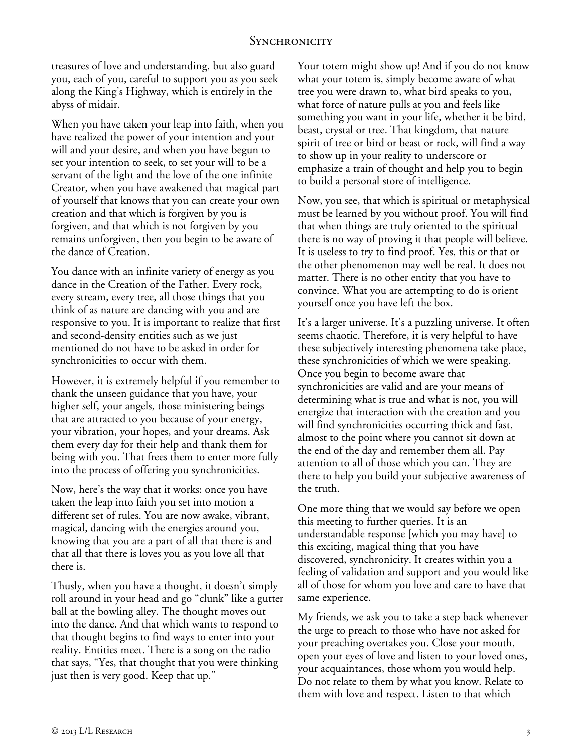treasures of love and understanding, but also guard you, each of you, careful to support you as you seek along the King's Highway, which is entirely in the abyss of midair.

When you have taken your leap into faith, when you have realized the power of your intention and your will and your desire, and when you have begun to set your intention to seek, to set your will to be a servant of the light and the love of the one infinite Creator, when you have awakened that magical part of yourself that knows that you can create your own creation and that which is forgiven by you is forgiven, and that which is not forgiven by you remains unforgiven, then you begin to be aware of the dance of Creation.

You dance with an infinite variety of energy as you dance in the Creation of the Father. Every rock, every stream, every tree, all those things that you think of as nature are dancing with you and are responsive to you. It is important to realize that first and second-density entities such as we just mentioned do not have to be asked in order for synchronicities to occur with them.

However, it is extremely helpful if you remember to thank the unseen guidance that you have, your higher self, your angels, those ministering beings that are attracted to you because of your energy, your vibration, your hopes, and your dreams. Ask them every day for their help and thank them for being with you. That frees them to enter more fully into the process of offering you synchronicities.

Now, here's the way that it works: once you have taken the leap into faith you set into motion a different set of rules. You are now awake, vibrant, magical, dancing with the energies around you, knowing that you are a part of all that there is and that all that there is loves you as you love all that there is.

Thusly, when you have a thought, it doesn't simply roll around in your head and go "clunk" like a gutter ball at the bowling alley. The thought moves out into the dance. And that which wants to respond to that thought begins to find ways to enter into your reality. Entities meet. There is a song on the radio that says, "Yes, that thought that you were thinking just then is very good. Keep that up."

Your totem might show up! And if you do not know what your totem is, simply become aware of what tree you were drawn to, what bird speaks to you, what force of nature pulls at you and feels like something you want in your life, whether it be bird, beast, crystal or tree. That kingdom, that nature spirit of tree or bird or beast or rock, will find a way to show up in your reality to underscore or emphasize a train of thought and help you to begin to build a personal store of intelligence.

Now, you see, that which is spiritual or metaphysical must be learned by you without proof. You will find that when things are truly oriented to the spiritual there is no way of proving it that people will believe. It is useless to try to find proof. Yes, this or that or the other phenomenon may well be real. It does not matter. There is no other entity that you have to convince. What you are attempting to do is orient yourself once you have left the box.

It's a larger universe. It's a puzzling universe. It often seems chaotic. Therefore, it is very helpful to have these subjectively interesting phenomena take place, these synchronicities of which we were speaking. Once you begin to become aware that synchronicities are valid and are your means of determining what is true and what is not, you will energize that interaction with the creation and you will find synchronicities occurring thick and fast, almost to the point where you cannot sit down at the end of the day and remember them all. Pay attention to all of those which you can. They are there to help you build your subjective awareness of the truth.

One more thing that we would say before we open this meeting to further queries. It is an understandable response [which you may have] to this exciting, magical thing that you have discovered, synchronicity. It creates within you a feeling of validation and support and you would like all of those for whom you love and care to have that same experience.

My friends, we ask you to take a step back whenever the urge to preach to those who have not asked for your preaching overtakes you. Close your mouth, open your eyes of love and listen to your loved ones, your acquaintances, those whom you would help. Do not relate to them by what you know. Relate to them with love and respect. Listen to that which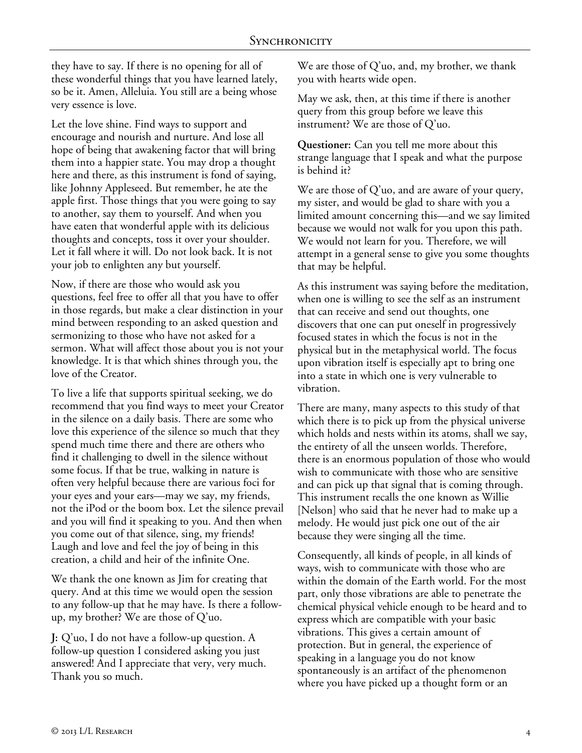they have to say. If there is no opening for all of these wonderful things that you have learned lately, so be it. Amen, Alleluia. You still are a being whose very essence is love.

Let the love shine. Find ways to support and encourage and nourish and nurture. And lose all hope of being that awakening factor that will bring them into a happier state. You may drop a thought here and there, as this instrument is fond of saying, like Johnny Appleseed. But remember, he ate the apple first. Those things that you were going to say to another, say them to yourself. And when you have eaten that wonderful apple with its delicious thoughts and concepts, toss it over your shoulder. Let it fall where it will. Do not look back. It is not your job to enlighten any but yourself.

Now, if there are those who would ask you questions, feel free to offer all that you have to offer in those regards, but make a clear distinction in your mind between responding to an asked question and sermonizing to those who have not asked for a sermon. What will affect those about you is not your knowledge. It is that which shines through you, the love of the Creator.

To live a life that supports spiritual seeking, we do recommend that you find ways to meet your Creator in the silence on a daily basis. There are some who love this experience of the silence so much that they spend much time there and there are others who find it challenging to dwell in the silence without some focus. If that be true, walking in nature is often very helpful because there are various foci for your eyes and your ears—may we say, my friends, not the iPod or the boom box. Let the silence prevail and you will find it speaking to you. And then when you come out of that silence, sing, my friends! Laugh and love and feel the joy of being in this creation, a child and heir of the infinite One.

We thank the one known as Jim for creating that query. And at this time we would open the session to any follow-up that he may have. Is there a followup, my brother? We are those of Q'uo.

**J:** Q'uo, I do not have a follow-up question. A follow-up question I considered asking you just answered! And I appreciate that very, very much. Thank you so much.

We are those of Q'uo, and, my brother, we thank you with hearts wide open.

May we ask, then, at this time if there is another query from this group before we leave this instrument? We are those of Q'uo.

**Questioner:** Can you tell me more about this strange language that I speak and what the purpose is behind it?

We are those of Q'uo, and are aware of your query, my sister, and would be glad to share with you a limited amount concerning this—and we say limited because we would not walk for you upon this path. We would not learn for you. Therefore, we will attempt in a general sense to give you some thoughts that may be helpful.

As this instrument was saying before the meditation, when one is willing to see the self as an instrument that can receive and send out thoughts, one discovers that one can put oneself in progressively focused states in which the focus is not in the physical but in the metaphysical world. The focus upon vibration itself is especially apt to bring one into a state in which one is very vulnerable to vibration.

There are many, many aspects to this study of that which there is to pick up from the physical universe which holds and nests within its atoms, shall we say, the entirety of all the unseen worlds. Therefore, there is an enormous population of those who would wish to communicate with those who are sensitive and can pick up that signal that is coming through. This instrument recalls the one known as Willie [Nelson] who said that he never had to make up a melody. He would just pick one out of the air because they were singing all the time.

Consequently, all kinds of people, in all kinds of ways, wish to communicate with those who are within the domain of the Earth world. For the most part, only those vibrations are able to penetrate the chemical physical vehicle enough to be heard and to express which are compatible with your basic vibrations. This gives a certain amount of protection. But in general, the experience of speaking in a language you do not know spontaneously is an artifact of the phenomenon where you have picked up a thought form or an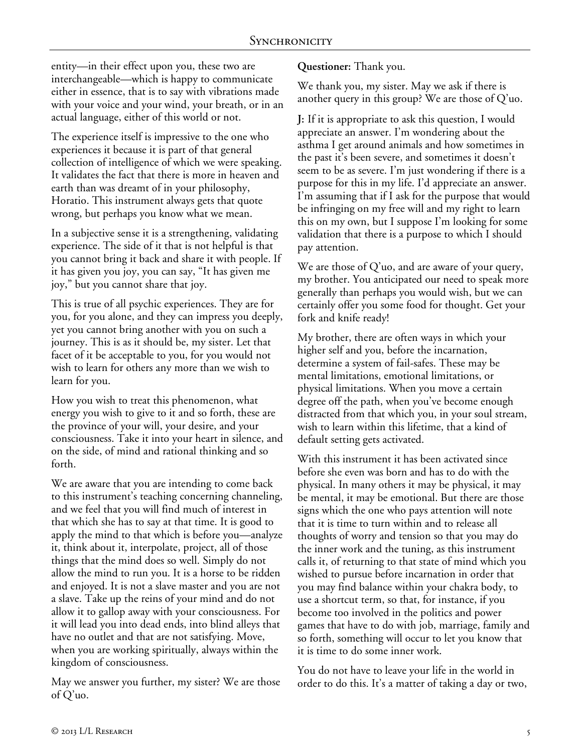entity—in their effect upon you, these two are interchangeable—which is happy to communicate either in essence, that is to say with vibrations made with your voice and your wind, your breath, or in an actual language, either of this world or not.

The experience itself is impressive to the one who experiences it because it is part of that general collection of intelligence of which we were speaking. It validates the fact that there is more in heaven and earth than was dreamt of in your philosophy, Horatio. This instrument always gets that quote wrong, but perhaps you know what we mean.

In a subjective sense it is a strengthening, validating experience. The side of it that is not helpful is that you cannot bring it back and share it with people. If it has given you joy, you can say, "It has given me joy," but you cannot share that joy.

This is true of all psychic experiences. They are for you, for you alone, and they can impress you deeply, yet you cannot bring another with you on such a journey. This is as it should be, my sister. Let that facet of it be acceptable to you, for you would not wish to learn for others any more than we wish to learn for you.

How you wish to treat this phenomenon, what energy you wish to give to it and so forth, these are the province of your will, your desire, and your consciousness. Take it into your heart in silence, and on the side, of mind and rational thinking and so forth.

We are aware that you are intending to come back to this instrument's teaching concerning channeling, and we feel that you will find much of interest in that which she has to say at that time. It is good to apply the mind to that which is before you—analyze it, think about it, interpolate, project, all of those things that the mind does so well. Simply do not allow the mind to run you. It is a horse to be ridden and enjoyed. It is not a slave master and you are not a slave. Take up the reins of your mind and do not allow it to gallop away with your consciousness. For it will lead you into dead ends, into blind alleys that have no outlet and that are not satisfying. Move, when you are working spiritually, always within the kingdom of consciousness.

May we answer you further, my sister? We are those of Q'uo.

**Questioner:** Thank you.

We thank you, my sister. May we ask if there is another query in this group? We are those of Q'uo.

**J:** If it is appropriate to ask this question, I would appreciate an answer. I'm wondering about the asthma I get around animals and how sometimes in the past it's been severe, and sometimes it doesn't seem to be as severe. I'm just wondering if there is a purpose for this in my life. I'd appreciate an answer. I'm assuming that if I ask for the purpose that would be infringing on my free will and my right to learn this on my own, but I suppose I'm looking for some validation that there is a purpose to which I should pay attention.

We are those of Q'uo, and are aware of your query, my brother. You anticipated our need to speak more generally than perhaps you would wish, but we can certainly offer you some food for thought. Get your fork and knife ready!

My brother, there are often ways in which your higher self and you, before the incarnation, determine a system of fail-safes. These may be mental limitations, emotional limitations, or physical limitations. When you move a certain degree off the path, when you've become enough distracted from that which you, in your soul stream, wish to learn within this lifetime, that a kind of default setting gets activated.

With this instrument it has been activated since before she even was born and has to do with the physical. In many others it may be physical, it may be mental, it may be emotional. But there are those signs which the one who pays attention will note that it is time to turn within and to release all thoughts of worry and tension so that you may do the inner work and the tuning, as this instrument calls it, of returning to that state of mind which you wished to pursue before incarnation in order that you may find balance within your chakra body, to use a shortcut term, so that, for instance, if you become too involved in the politics and power games that have to do with job, marriage, family and so forth, something will occur to let you know that it is time to do some inner work.

You do not have to leave your life in the world in order to do this. It's a matter of taking a day or two,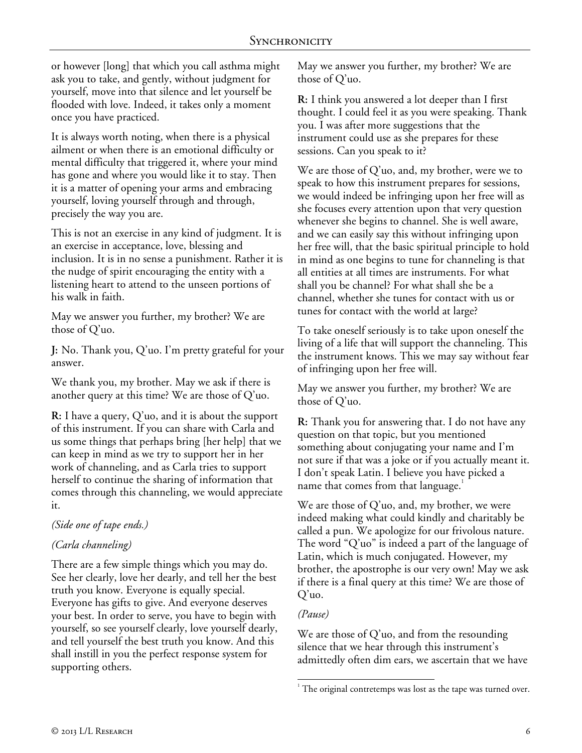or however [long] that which you call asthma might ask you to take, and gently, without judgment for yourself, move into that silence and let yourself be flooded with love. Indeed, it takes only a moment once you have practiced.

It is always worth noting, when there is a physical ailment or when there is an emotional difficulty or mental difficulty that triggered it, where your mind has gone and where you would like it to stay. Then it is a matter of opening your arms and embracing yourself, loving yourself through and through, precisely the way you are.

This is not an exercise in any kind of judgment. It is an exercise in acceptance, love, blessing and inclusion. It is in no sense a punishment. Rather it is the nudge of spirit encouraging the entity with a listening heart to attend to the unseen portions of his walk in faith.

May we answer you further, my brother? We are those of Q'uo.

**J:** No. Thank you, Q'uo. I'm pretty grateful for your answer.

We thank you, my brother. May we ask if there is another query at this time? We are those of Q'uo.

**R:** I have a query, Q'uo, and it is about the support of this instrument. If you can share with Carla and us some things that perhaps bring [her help] that we can keep in mind as we try to support her in her work of channeling, and as Carla tries to support herself to continue the sharing of information that comes through this channeling, we would appreciate it.

# *(Side one of tape ends.)*

# *(Carla channeling)*

There are a few simple things which you may do. See her clearly, love her dearly, and tell her the best truth you know. Everyone is equally special. Everyone has gifts to give. And everyone deserves your best. In order to serve, you have to begin with yourself, so see yourself clearly, love yourself dearly, and tell yourself the best truth you know. And this shall instill in you the perfect response system for supporting others.

May we answer you further, my brother? We are those of Q'uo.

**R:** I think you answered a lot deeper than I first thought. I could feel it as you were speaking. Thank you. I was after more suggestions that the instrument could use as she prepares for these sessions. Can you speak to it?

We are those of Q'uo, and, my brother, were we to speak to how this instrument prepares for sessions, we would indeed be infringing upon her free will as she focuses every attention upon that very question whenever she begins to channel. She is well aware, and we can easily say this without infringing upon her free will, that the basic spiritual principle to hold in mind as one begins to tune for channeling is that all entities at all times are instruments. For what shall you be channel? For what shall she be a channel, whether she tunes for contact with us or tunes for contact with the world at large?

To take oneself seriously is to take upon oneself the living of a life that will support the channeling. This the instrument knows. This we may say without fear of infringing upon her free will.

May we answer you further, my brother? We are those of Q'uo.

**R:** Thank you for answering that. I do not have any question on that topic, but you mentioned something about conjugating your name and I'm not sure if that was a joke or if you actually meant it. I don't speak Latin. I believe you have picked a name that comes from that language.

We are those of Q'uo, and, my brother, we were indeed making what could kindly and charitably be called a pun. We apologize for our frivolous nature. The word "Q'uo" is indeed a part of the language of Latin, which is much conjugated. However, my brother, the apostrophe is our very own! May we ask if there is a final query at this time? We are those of Q'uo.

## *(Pause)*

l

We are those of Q'uo, and from the resounding silence that we hear through this instrument's admittedly often dim ears, we ascertain that we have

 $1$ <sup>1</sup> The original contretemps was lost as the tape was turned over.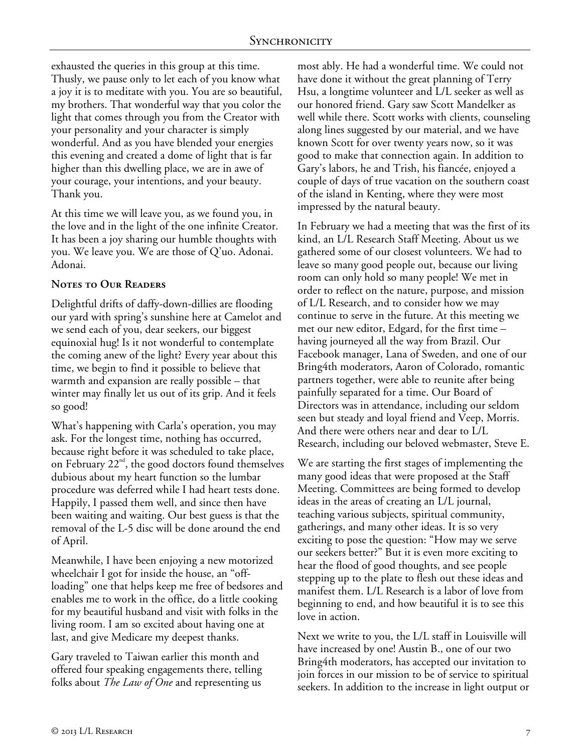exhausted the queries in this group at this time. Thusly, we pause only to let each of you know what a joy it is to meditate with you. You are so beautiful, my brothers. That wonderful way that you color the light that comes through you from the Creator with your personality and your character is simply wonderful. And as you have blended your energies this evening and created a dome of light that is far higher than this dwelling place, we are in awe of your courage, your intentions, and your beauty. Thank you.

At this time we will leave you, as we found you, in the love and in the light of the one infinite Creator. It has been a joy sharing our humble thoughts with you. We leave you. We are those of Q'uo. Adonai. Adonai.

## **Notes to Our Readers**

Delightful drifts of daffy-down-dillies are flooding our yard with spring's sunshine here at Camelot and we send each of you, dear seekers, our biggest equinoxial hug! Is it not wonderful to contemplate the coming anew of the light? Every year about this time, we begin to find it possible to believe that warmth and expansion are really possible – that winter may finally let us out of its grip. And it feels so good!

What's happening with Carla's operation, you may ask. For the longest time, nothing has occurred, because right before it was scheduled to take place, on February  $22<sup>nd</sup>$ , the good doctors found themselves dubious about my heart function so the lumbar procedure was deferred while I had heart tests done. Happily, I passed them well, and since then have been waiting and waiting. Our best guess is that the removal of the L-5 disc will be done around the end of April.

Meanwhile, I have been enjoying a new motorized wheelchair I got for inside the house, an "offloading" one that helps keep me free of bedsores and enables me to work in the office, do a little cooking for my beautiful husband and visit with folks in the living room. I am so excited about having one at last, and give Medicare my deepest thanks.

Gary traveled to Taiwan earlier this month and offered four speaking engagements there, telling folks about *The Law of One* and representing us

most ably. He had a wonderful time. We could not have done it without the great planning of Terry Hsu, a longtime volunteer and L/L seeker as well as our honored friend. Gary saw Scott Mandelker as well while there. Scott works with clients, counseling along lines suggested by our material, and we have known Scott for over twenty years now, so it was good to make that connection again. In addition to Gary's labors, he and Trish, his fiancée, enjoyed a couple of days of true vacation on the southern coast of the island in Kenting, where they were most impressed by the natural beauty.

In February we had a meeting that was the first of its kind, an L/L Research Staff Meeting. About us we gathered some of our closest volunteers. We had to leave so many good people out, because our living room can only hold so many people! We met in order to reflect on the nature, purpose, and mission of L/L Research, and to consider how we may continue to serve in the future. At this meeting we met our new editor, Edgard, for the first time – having journeyed all the way from Brazil. Our Facebook manager, Lana of Sweden, and one of our Bring4th moderators, Aaron of Colorado, romantic partners together, were able to reunite after being painfully separated for a time. Our Board of Directors was in attendance, including our seldom seen but steady and loyal friend and Veep, Morris. And there were others near and dear to L/L Research, including our beloved webmaster, Steve E.

We are starting the first stages of implementing the many good ideas that were proposed at the Staff Meeting. Committees are being formed to develop ideas in the areas of creating an L/L journal, teaching various subjects, spiritual community, gatherings, and many other ideas. It is so very exciting to pose the question: "How may we serve our seekers better?" But it is even more exciting to hear the flood of good thoughts, and see people stepping up to the plate to flesh out these ideas and manifest them. L/L Research is a labor of love from beginning to end, and how beautiful it is to see this love in action.

Next we write to you, the L/L staff in Louisville will have increased by one! Austin B., one of our two Bring4th moderators, has accepted our invitation to join forces in our mission to be of service to spiritual seekers. In addition to the increase in light output or